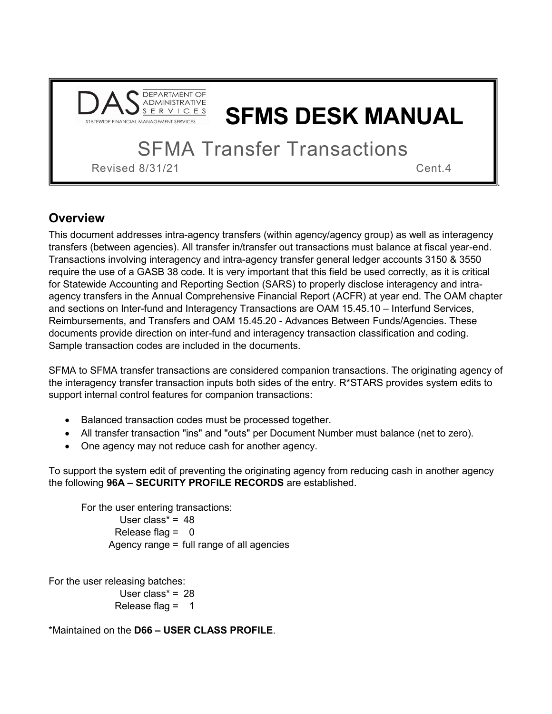

# **SFMS DESK MANUAL**

**SFMA Transfer Transactions** 

Revised 8/31/21 Cent.4

.

# **Overview**

This document addresses intra-agency transfers (within agency/agency group) as well as interagency transfers (between agencies). All transfer in/transfer out transactions must balance at fiscal year-end. Transactions involving interagency and intra-agency transfer general ledger accounts 3150 & 3550 require the use of a GASB 38 code. It is very important that this field be used correctly, as it is critical for Statewide Accounting and Reporting Section (SARS) to properly disclose interagency and intraagency transfers in the Annual Comprehensive Financial Report (ACFR) at year end. The OAM chapter and sections on Inter-fund and Interagency Transactions are OAM 15.45.10 – Interfund Services, Reimbursements, and Transfers and OAM 15.45.20 - Advances Between Funds/Agencies. These documents provide direction on inter-fund and interagency transaction classification and coding. Sample transaction codes are included in the documents.

SFMA to SFMA transfer transactions are considered companion transactions. The originating agency of the interagency transfer transaction inputs both sides of the entry. R\*STARS provides system edits to support internal control features for companion transactions:

- Balanced transaction codes must be processed together.
- All transfer transaction "ins" and "outs" per Document Number must balance (net to zero).
- One agency may not reduce cash for another agency.

To support the system edit of preventing the originating agency from reducing cash in another agency the following **96A – SECURITY PROFILE RECORDS** are established.

For the user entering transactions: User class $* = 48$ Release flag  $= 0$ Agency range = full range of all agencies

For the user releasing batches: User class<sup> $* = 28$ </sup> Release flag  $=$  1

\*Maintained on the **D66 – USER CLASS PROFILE**.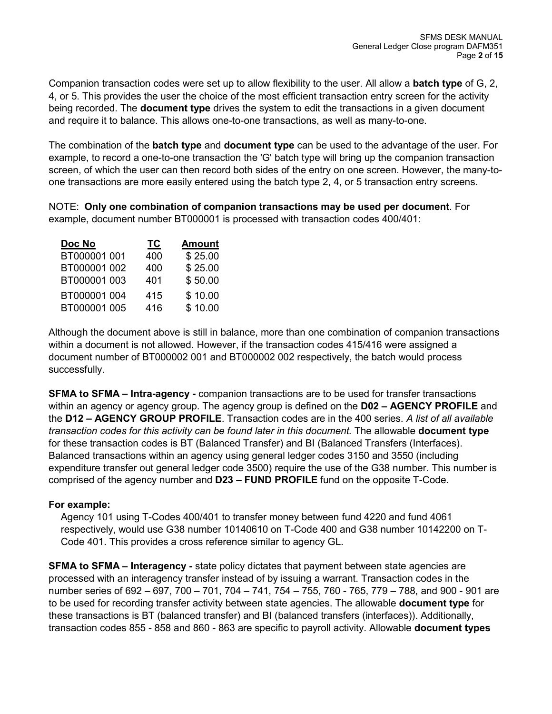Companion transaction codes were set up to allow flexibility to the user. All allow a **batch type** of G, 2, 4, or 5. This provides the user the choice of the most efficient transaction entry screen for the activity being recorded. The **document type** drives the system to edit the transactions in a given document and require it to balance. This allows one-to-one transactions, as well as many-to-one.

The combination of the **batch type** and **document type** can be used to the advantage of the user. For example, to record a one-to-one transaction the 'G' batch type will bring up the companion transaction screen, of which the user can then record both sides of the entry on one screen. However, the many-toone transactions are more easily entered using the batch type 2, 4, or 5 transaction entry screens.

NOTE: **Only one combination of companion transactions may be used per document**. For example, document number BT000001 is processed with transaction codes 400/401:

| Doc No       | ТC  | <b>Amount</b> |
|--------------|-----|---------------|
| BT000001 001 | 400 | \$25.00       |
| BT000001 002 | 400 | \$25.00       |
| BT000001 003 | 401 | \$50.00       |
| BT000001 004 | 415 | \$10.00       |
| BT000001 005 | 416 | \$10.00       |

Although the document above is still in balance, more than one combination of companion transactions within a document is not allowed. However, if the transaction codes 415/416 were assigned a document number of BT000002 001 and BT000002 002 respectively, the batch would process successfully.

**SFMA to SFMA – Intra-agency -** companion transactions are to be used for transfer transactions within an agency or agency group. The agency group is defined on the **D02 – AGENCY PROFILE** and the **D12 – AGENCY GROUP PROFILE**. Transaction codes are in the 400 series. *A list of all available transaction codes for this activity can be found later in this document.* The allowable **document type** for these transaction codes is BT (Balanced Transfer) and BI (Balanced Transfers (Interfaces). Balanced transactions within an agency using general ledger codes 3150 and 3550 (including expenditure transfer out general ledger code 3500) require the use of the G38 number. This number is comprised of the agency number and **D23 – FUND PROFILE** fund on the opposite T-Code.

### **For example:**

Agency 101 using T-Codes 400/401 to transfer money between fund 4220 and fund 4061 respectively, would use G38 number 10140610 on T-Code 400 and G38 number 10142200 on T-Code 401. This provides a cross reference similar to agency GL.

**SFMA to SFMA – Interagency -** state policy dictates that payment between state agencies are processed with an interagency transfer instead of by issuing a warrant. Transaction codes in the number series of 692 – 697, 700 – 701, 704 – 741, 754 – 755, 760 - 765, 779 – 788, and 900 - 901 are to be used for recording transfer activity between state agencies. The allowable **document type** for these transactions is BT (balanced transfer) and BI (balanced transfers (interfaces)). Additionally, transaction codes 855 - 858 and 860 - 863 are specific to payroll activity. Allowable **document types**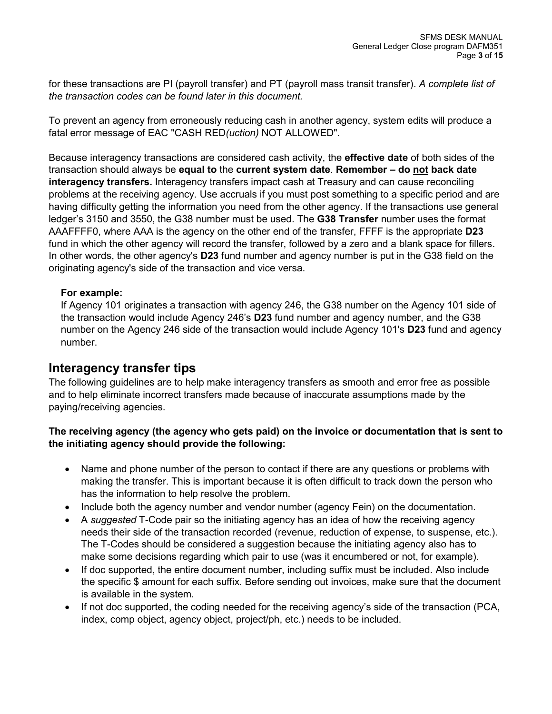for these transactions are PI (payroll transfer) and PT (payroll mass transit transfer). *A complete list of the transaction codes can be found later in this document.*

To prevent an agency from erroneously reducing cash in another agency, system edits will produce a fatal error message of EAC "CASH RED*(uction)* NOT ALLOWED".

Because interagency transactions are considered cash activity, the **effective date** of both sides of the transaction should always be **equal to** the **current system date**. **Remember – do not back date interagency transfers.** Interagency transfers impact cash at Treasury and can cause reconciling problems at the receiving agency. Use accruals if you must post something to a specific period and are having difficulty getting the information you need from the other agency. If the transactions use general ledger's 3150 and 3550, the G38 number must be used. The **G38 Transfer** number uses the format AAAFFFF0, where AAA is the agency on the other end of the transfer, FFFF is the appropriate **D23** fund in which the other agency will record the transfer, followed by a zero and a blank space for fillers. In other words, the other agency's **D23** fund number and agency number is put in the G38 field on the originating agency's side of the transaction and vice versa.

### **For example:**

If Agency 101 originates a transaction with agency 246, the G38 number on the Agency 101 side of the transaction would include Agency 246's **D23** fund number and agency number, and the G38 number on the Agency 246 side of the transaction would include Agency 101's **D23** fund and agency number.

### **Interagency transfer tips**

The following guidelines are to help make interagency transfers as smooth and error free as possible and to help eliminate incorrect transfers made because of inaccurate assumptions made by the paying/receiving agencies.

### **The receiving agency (the agency who gets paid) on the invoice or documentation that is sent to the initiating agency should provide the following:**

- Name and phone number of the person to contact if there are any questions or problems with making the transfer. This is important because it is often difficult to track down the person who has the information to help resolve the problem.
- Include both the agency number and vendor number (agency Fein) on the documentation.
- A *suggested* T-Code pair so the initiating agency has an idea of how the receiving agency needs their side of the transaction recorded (revenue, reduction of expense, to suspense, etc.). The T-Codes should be considered a suggestion because the initiating agency also has to make some decisions regarding which pair to use (was it encumbered or not, for example).
- If doc supported, the entire document number, including suffix must be included. Also include the specific \$ amount for each suffix. Before sending out invoices, make sure that the document is available in the system.
- If not doc supported, the coding needed for the receiving agency's side of the transaction (PCA, index, comp object, agency object, project/ph, etc.) needs to be included.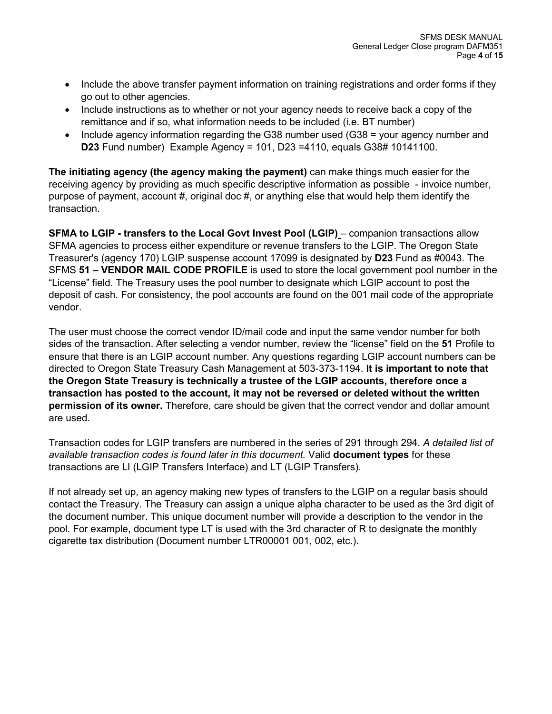- Include the above transfer payment information on training registrations and order forms if they go out to other agencies.
- Include instructions as to whether or not your agency needs to receive back a copy of the remittance and if so, what information needs to be included (i.e. BT number)
- Include agency information regarding the G38 number used (G38 = your agency number and **D23** Fund number) Example Agency = 101, D23 =4110, equals G38# 10141100.

**The initiating agency (the agency making the payment)** can make things much easier for the receiving agency by providing as much specific descriptive information as possible - invoice number, purpose of payment, account  $#$ , original doc  $#$ , or anything else that would help them identify the transaction.

**SFMA to LGIP - transfers to the Local Govt Invest Pool (LGIP)** – companion transactions allow SFMA agencies to process either expenditure or revenue transfers to the LGIP. The Oregon State Treasurer's (agency 170) LGIP suspense account 17099 is designated by **D23** Fund as #0043. The SFMS **51 – VENDOR MAIL CODE PROFILE** is used to store the local government pool number in the "License" field. The Treasury uses the pool number to designate which LGIP account to post the deposit of cash. For consistency, the pool accounts are found on the 001 mail code of the appropriate vendor.

The user must choose the correct vendor ID/mail code and input the same vendor number for both sides of the transaction. After selecting a vendor number, review the "license" field on the **51** Profile to ensure that there is an LGIP account number. Any questions regarding LGIP account numbers can be directed to Oregon State Treasury Cash Management at 503-373-1194. **It is important to note that the Oregon State Treasury is technically a trustee of the LGIP accounts, therefore once a transaction has posted to the account, it may not be reversed or deleted without the written permission of its owner.** Therefore, care should be given that the correct vendor and dollar amount are used.

Transaction codes for LGIP transfers are numbered in the series of 291 through 294. *A detailed list of available transaction codes is found later in this document.* Valid **document types** for these transactions are LI (LGIP Transfers Interface) and LT (LGIP Transfers).

If not already set up, an agency making new types of transfers to the LGIP on a regular basis should contact the Treasury. The Treasury can assign a unique alpha character to be used as the 3rd digit of the document number. This unique document number will provide a description to the vendor in the pool. For example, document type LT is used with the 3rd character of R to designate the monthly cigarette tax distribution (Document number LTR00001 001, 002, etc.).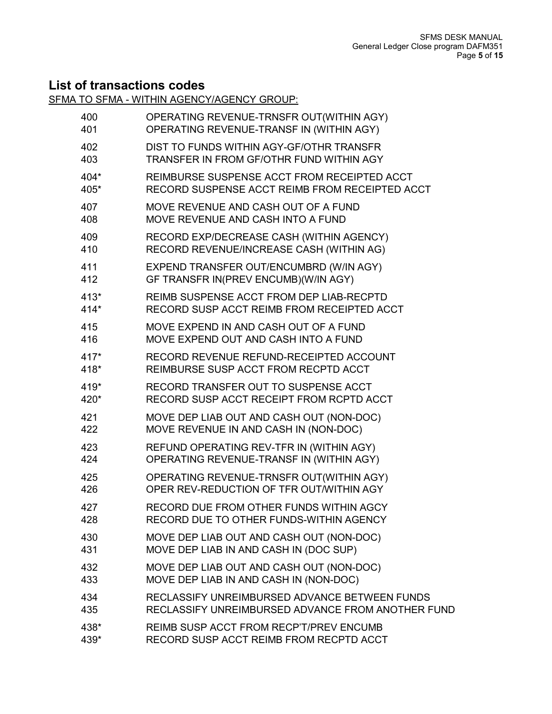# **List of transactions codes**

SFMA TO SFMA - WITHIN AGENCY/AGENCY GROUP:

| 400    | OPERATING REVENUE-TRNSFR OUT(WITHIN AGY)          |
|--------|---------------------------------------------------|
| 401    | OPERATING REVENUE-TRANSF IN (WITHIN AGY)          |
| 402    | DIST TO FUNDS WITHIN AGY-GF/OTHR TRANSFR          |
| 403    | TRANSFER IN FROM GF/OTHR FUND WITHIN AGY          |
| 404*   | REIMBURSE SUSPENSE ACCT FROM RECEIPTED ACCT       |
| 405*   | RECORD SUSPENSE ACCT REIMB FROM RECEIPTED ACCT    |
| 407    | MOVE REVENUE AND CASH OUT OF A FUND               |
| 408    | MOVE REVENUE AND CASH INTO A FUND                 |
| 409    | RECORD EXP/DECREASE CASH (WITHIN AGENCY)          |
| 410    | RECORD REVENUE/INCREASE CASH (WITHIN AG)          |
| 411    | EXPEND TRANSFER OUT/ENCUMBRD (W/IN AGY)           |
| 412    | GF TRANSFR IN(PREV ENCUMB)(W/IN AGY)              |
| $413*$ | REIMB SUSPENSE ACCT FROM DEP LIAB-RECPTD          |
| 414*   | RECORD SUSP ACCT REIMB FROM RECEIPTED ACCT        |
| 415    | MOVE EXPEND IN AND CASH OUT OF A FUND             |
| 416    | MOVE EXPEND OUT AND CASH INTO A FUND              |
| $417*$ | RECORD REVENUE REFUND-RECEIPTED ACCOUNT           |
| 418*   | REIMBURSE SUSP ACCT FROM RECPTD ACCT              |
| 419*   | RECORD TRANSFER OUT TO SUSPENSE ACCT              |
| 420*   | RECORD SUSP ACCT RECEIPT FROM RCPTD ACCT          |
| 421    | MOVE DEP LIAB OUT AND CASH OUT (NON-DOC)          |
| 422    | MOVE REVENUE IN AND CASH IN (NON-DOC)             |
| 423    | REFUND OPERATING REV-TFR IN (WITHIN AGY)          |
| 424    | OPERATING REVENUE-TRANSF IN (WITHIN AGY)          |
| 425    | OPERATING REVENUE-TRNSFR OUT(WITHIN AGY)          |
| 426    | OPER REV-REDUCTION OF TFR OUT/WITHIN AGY          |
| 427    | RECORD DUE FROM OTHER FUNDS WITHIN AGCY           |
| 428    | RECORD DUE TO OTHER FUNDS-WITHIN AGENCY           |
| 430    | MOVE DEP LIAB OUT AND CASH OUT (NON-DOC)          |
| 431    | MOVE DEP LIAB IN AND CASH IN (DOC SUP)            |
| 432    | MOVE DEP LIAB OUT AND CASH OUT (NON-DOC)          |
| 433    | MOVE DEP LIAB IN AND CASH IN (NON-DOC)            |
| 434    | RECLASSIFY UNREIMBURSED ADVANCE BETWEEN FUNDS     |
| 435    | RECLASSIFY UNREIMBURSED ADVANCE FROM ANOTHER FUND |
| 438*   | REIMB SUSP ACCT FROM RECP'T/PREV ENCUMB           |
| 439*   | RECORD SUSP ACCT REIMB FROM RECPTD ACCT           |
|        |                                                   |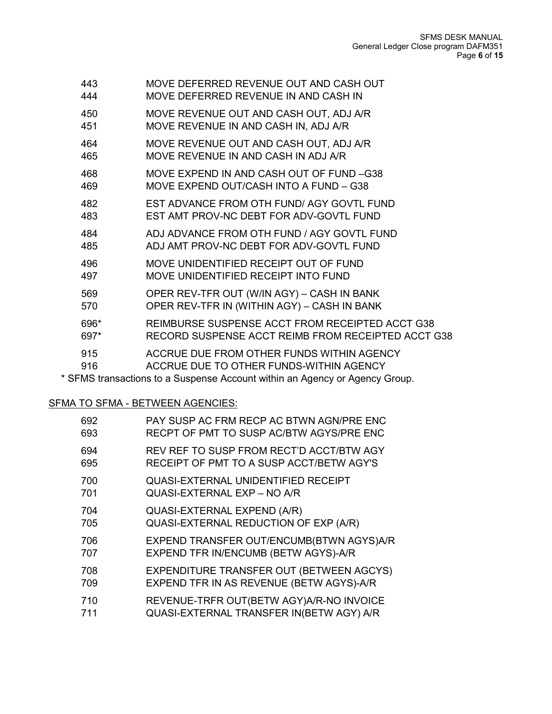| 443  | MOVE DEFERRED REVENUE OUT AND CASH OUT             |
|------|----------------------------------------------------|
| 444  | MOVE DEFERRED REVENUE IN AND CASH IN               |
| 450  | MOVE REVENUE OUT AND CASH OUT, ADJ A/R             |
| 451  | MOVE REVENUE IN AND CASH IN, ADJ A/R               |
| 464  | MOVE REVENUE OUT AND CASH OUT, ADJ A/R             |
| 465  | MOVE REVENUE IN AND CASH IN ADJ A/R                |
| 468  | MOVE EXPEND IN AND CASH OUT OF FUND -G38           |
| 469  | MOVE EXPEND OUT/CASH INTO A FUND - G38             |
| 482  | EST ADVANCE FROM OTH FUND/AGY GOVTL FUND           |
| 483  | EST AMT PROV-NC DEBT FOR ADV-GOVTL FUND            |
| 484  | ADJ ADVANCE FROM OTH FUND / AGY GOVTL FUND         |
| 485  | ADJ AMT PROV-NC DEBT FOR ADV-GOVTL FUND            |
| 496  | MOVE UNIDENTIFIED RECEIPT OUT OF FUND              |
| 497  | MOVE UNIDENTIFIED RECEIPT INTO FUND                |
| 569  | OPER REV-TFR OUT (W/IN AGY) - CASH IN BANK         |
| 570  | OPER REV-TFR IN (WITHIN AGY) - CASH IN BANK        |
| 696* | REIMBURSE SUSPENSE ACCT FROM RECEIPTED ACCT G38    |
| 697* | RECORD SUSPENSE ACCT REIMB FROM RECEIPTED ACCT G38 |
| 915  | ACCRUE DUE FROM OTHER FUNDS WITHIN AGENCY          |
| 916  | ACCRUE DUE TO OTHER FUNDS-WITHIN AGENCY            |

\* SFMS transactions to a Suspense Account within an Agency or Agency Group.

### SFMA TO SFMA - BETWEEN AGENCIES:

| PAY SUSP AC FRM RECP AC BTWN AGN/PRE ENC<br>RECPT OF PMT TO SUSP AC/BTW AGYS/PRE ENC  |
|---------------------------------------------------------------------------------------|
| REV REF TO SUSP FROM RECT'D ACCT/BTW AGY<br>RECEIPT OF PMT TO A SUSP ACCT/BETW AGY'S  |
| <b>QUASI-EXTERNAL UNIDENTIFIED RECEIPT</b><br>QUASI-EXTERNAL EXP - NO A/R             |
| QUASI-EXTERNAL EXPEND (A/R)<br>QUASI-EXTERNAL REDUCTION OF EXP (A/R)                  |
| EXPEND TRANSFER OUT/ENCUMB(BTWN AGYS)A/R<br>EXPEND TFR IN/ENCUMB (BETW AGYS)-A/R      |
| EXPENDITURE TRANSFER OUT (BETWEEN AGCYS)<br>EXPEND TFR IN AS REVENUE (BETW AGYS)-A/R  |
| REVENUE-TRFR OUT(BETW AGY) A/R-NO INVOICE<br>QUASI-EXTERNAL TRANSFER IN(BETW AGY) A/R |
|                                                                                       |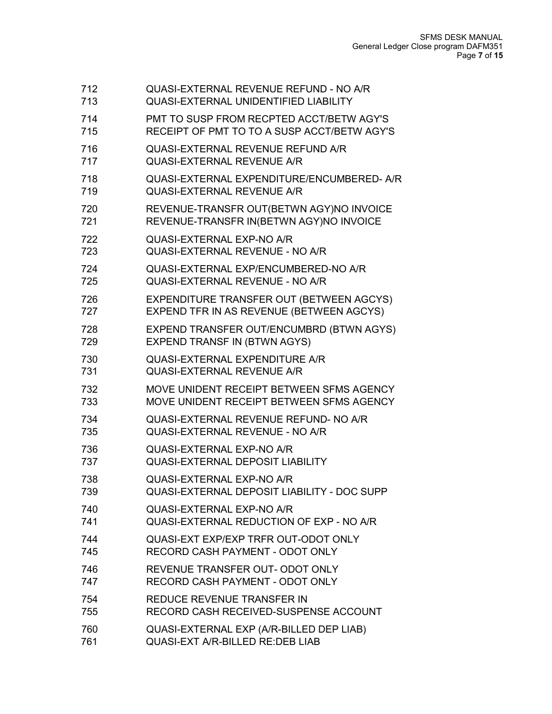| 712 | QUASI-EXTERNAL REVENUE REFUND - NO A/R             |
|-----|----------------------------------------------------|
| 713 | <b>QUASI-EXTERNAL UNIDENTIFIED LIABILITY</b>       |
| 714 | PMT TO SUSP FROM RECPTED ACCT/BETW AGY'S           |
| 715 | RECEIPT OF PMT TO TO A SUSP ACCT/BETW AGY'S        |
| 716 | QUASI-EXTERNAL REVENUE REFUND A/R                  |
| 717 | <b>QUASI-EXTERNAL REVENUE A/R</b>                  |
| 718 | QUASI-EXTERNAL EXPENDITURE/ENCUMBERED- A/R         |
| 719 | <b>QUASI-EXTERNAL REVENUE A/R</b>                  |
| 720 | REVENUE-TRANSFR OUT(BETWN AGY)NO INVOICE           |
| 721 | REVENUE-TRANSFR IN(BETWN AGY)NO INVOICE            |
| 722 | QUASI-EXTERNAL EXP-NO A/R                          |
| 723 | QUASI-EXTERNAL REVENUE - NO A/R                    |
| 724 | QUASI-EXTERNAL EXP/ENCUMBERED-NO A/R               |
| 725 | QUASI-EXTERNAL REVENUE - NO A/R                    |
| 726 | EXPENDITURE TRANSFER OUT (BETWEEN AGCYS)           |
| 727 | EXPEND TFR IN AS REVENUE (BETWEEN AGCYS)           |
| 728 | EXPEND TRANSFER OUT/ENCUMBRD (BTWN AGYS)           |
| 729 | <b>EXPEND TRANSF IN (BTWN AGYS)</b>                |
| 730 | <b>QUASI-EXTERNAL EXPENDITURE A/R</b>              |
| 731 | <b>QUASI-EXTERNAL REVENUE A/R</b>                  |
| 732 | MOVE UNIDENT RECEIPT BETWEEN SFMS AGENCY           |
| 733 | MOVE UNIDENT RECEIPT BETWEEN SFMS AGENCY           |
| 734 | QUASI-EXTERNAL REVENUE REFUND- NO A/R              |
| 735 | QUASI-EXTERNAL REVENUE - NO A/R                    |
| 736 | QUASI-EXTERNAL EXP-NO A/R                          |
| 737 | <b>QUASI-EXTERNAL DEPOSIT LIABILITY</b>            |
| 738 | QUASI-EXTERNAL EXP-NO A/R                          |
| 739 | <b>QUASI-EXTERNAL DEPOSIT LIABILITY - DOC SUPP</b> |
| 740 | QUASI-EXTERNAL EXP-NO A/R                          |
| 741 | QUASI-EXTERNAL REDUCTION OF EXP - NO A/R           |
| 744 | QUASI-EXT EXP/EXP TRFR OUT-ODOT ONLY               |
| 745 | RECORD CASH PAYMENT - ODOT ONLY                    |
| 746 | REVENUE TRANSFER OUT- ODOT ONLY                    |
| 747 | RECORD CASH PAYMENT - ODOT ONLY                    |
| 754 | REDUCE REVENUE TRANSFER IN                         |
| 755 | RECORD CASH RECEIVED-SUSPENSE ACCOUNT              |
| 760 | QUASI-EXTERNAL EXP (A/R-BILLED DEP LIAB)           |
| 761 | <b>QUASI-EXT A/R-BILLED RE: DEB LIAB</b>           |
|     |                                                    |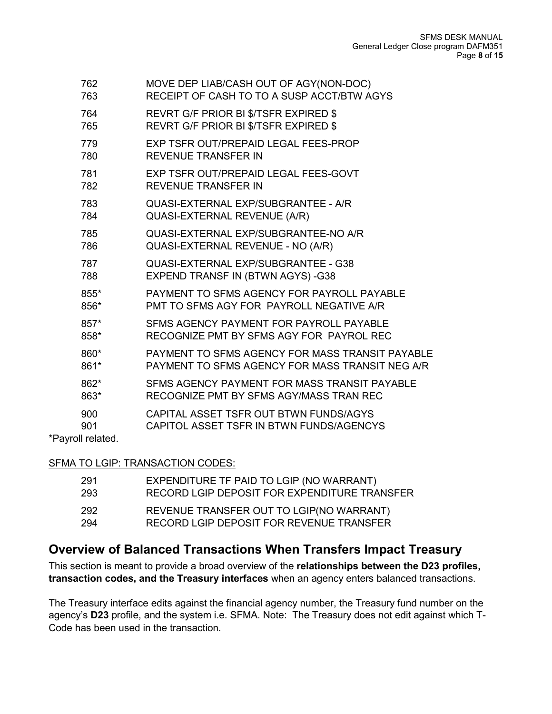| 762               | MOVE DEP LIAB/CASH OUT OF AGY(NON-DOC)          |
|-------------------|-------------------------------------------------|
| 763               | RECEIPT OF CASH TO TO A SUSP ACCT/BTW AGYS      |
| 764               | <b>REVRT G/F PRIOR BI \$/TSFR EXPIRED \$</b>    |
| 765               | <b>REVRT G/F PRIOR BI \$/TSFR EXPIRED \$</b>    |
| 779               | EXP TSFR OUT/PREPAID LEGAL FEES-PROP            |
| 780               | <b>REVENUE TRANSFER IN</b>                      |
| 781               | EXP TSFR OUT/PREPAID LEGAL FEES-GOVT            |
| 782               | <b>REVENUE TRANSFER IN</b>                      |
| 783               | QUASI-EXTERNAL EXP/SUBGRANTEE - A/R             |
| 784               | QUASI-EXTERNAL REVENUE (A/R)                    |
| 785               | QUASI-EXTERNAL EXP/SUBGRANTEE-NO A/R            |
| 786               | QUASI-EXTERNAL REVENUE - NO (A/R)               |
| 787               | QUASI-EXTERNAL EXP/SUBGRANTEE - G38             |
| 788               | EXPEND TRANSF IN (BTWN AGYS) -G38               |
| 855*              | PAYMENT TO SFMS AGENCY FOR PAYROLL PAYABLE      |
| 856*              | PMT TO SFMS AGY FOR PAYROLL NEGATIVE A/R        |
| 857*              | SFMS AGENCY PAYMENT FOR PAYROLL PAYABLE         |
| 858*              | RECOGNIZE PMT BY SFMS AGY FOR PAYROL REC        |
| 860*              | PAYMENT TO SFMS AGENCY FOR MASS TRANSIT PAYABLE |
| 861*              | PAYMENT TO SFMS AGENCY FOR MASS TRANSIT NEG A/R |
| 862*              | SFMS AGENCY PAYMENT FOR MASS TRANSIT PAYABLE    |
| 863*              | RECOGNIZE PMT BY SFMS AGY/MASS TRAN REC         |
| 900               | CAPITAL ASSET TSFR OUT BTWN FUNDS/AGYS          |
| 901               | CAPITOL ASSET TSFR IN BTWN FUNDS/AGENCYS        |
| *Payroll related. |                                                 |

SFMA TO LGIP: TRANSACTION CODES:

| 291 | EXPENDITURE TF PAID TO LGIP (NO WARRANT)     |
|-----|----------------------------------------------|
| 293 | RECORD LGIP DEPOSIT FOR EXPENDITURE TRANSFER |
| 292 | REVENUE TRANSFER OUT TO LGIP(NO WARRANT)     |
| 294 | RECORD LGIP DEPOSIT FOR REVENUE TRANSFER     |

## **Overview of Balanced Transactions When Transfers Impact Treasury**

This section is meant to provide a broad overview of the **relationships between the D23 profiles, transaction codes, and the Treasury interfaces** when an agency enters balanced transactions.

The Treasury interface edits against the financial agency number, the Treasury fund number on the agency's **D23** profile, and the system i.e. SFMA. Note: The Treasury does not edit against which T-Code has been used in the transaction.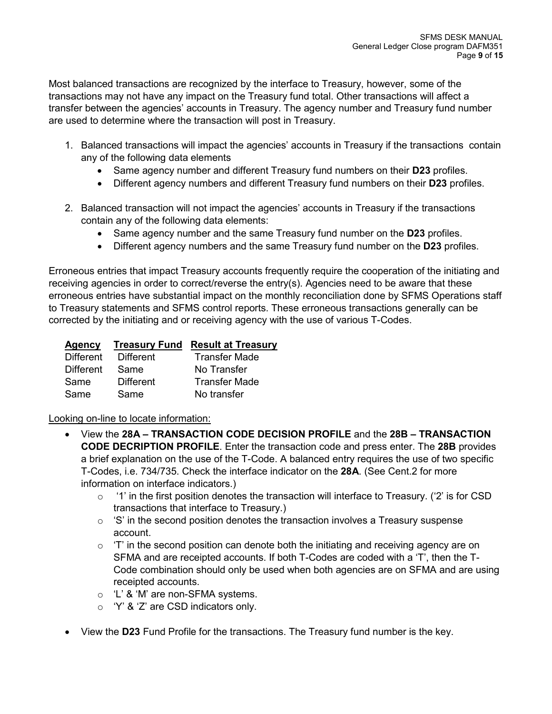Most balanced transactions are recognized by the interface to Treasury, however, some of the transactions may not have any impact on the Treasury fund total. Other transactions will affect a transfer between the agencies' accounts in Treasury. The agency number and Treasury fund number are used to determine where the transaction will post in Treasury.

- 1. Balanced transactions will impact the agencies' accounts in Treasury if the transactions contain any of the following data elements
	- Same agency number and different Treasury fund numbers on their **D23** profiles.
	- Different agency numbers and different Treasury fund numbers on their **D23** profiles.
- 2. Balanced transaction will not impact the agencies' accounts in Treasury if the transactions contain any of the following data elements:
	- Same agency number and the same Treasury fund number on the **D23** profiles.
	- Different agency numbers and the same Treasury fund number on the **D23** profiles.

Erroneous entries that impact Treasury accounts frequently require the cooperation of the initiating and receiving agencies in order to correct/reverse the entry(s). Agencies need to be aware that these erroneous entries have substantial impact on the monthly reconciliation done by SFMS Operations staff to Treasury statements and SFMS control reports. These erroneous transactions generally can be corrected by the initiating and or receiving agency with the use of various T-Codes.

| Agency           |                  | <b>Treasury Fund Result at Treasury</b> |
|------------------|------------------|-----------------------------------------|
| <b>Different</b> | Different        | <b>Transfer Made</b>                    |
| <b>Different</b> | Same             | No Transfer                             |
| Same             | <b>Different</b> | <b>Transfer Made</b>                    |
| Same             | Same             | No transfer                             |

Looking on-line to locate information:

- View the **28A – TRANSACTION CODE DECISION PROFILE** and the **28B – TRANSACTION CODE DECRIPTION PROFILE**. Enter the transaction code and press enter. The **28B** provides a brief explanation on the use of the T-Code. A balanced entry requires the use of two specific T-Codes, i.e. 734/735. Check the interface indicator on the **28A**. (See Cent.2 for more information on interface indicators.)
	- $\circ$  '1' in the first position denotes the transaction will interface to Treasury. ('2' is for CSD transactions that interface to Treasury.)
	- $\circ$  'S' in the second position denotes the transaction involves a Treasury suspense account.
	- $\circ$  'T' in the second position can denote both the initiating and receiving agency are on SFMA and are receipted accounts. If both T-Codes are coded with a 'T', then the T-Code combination should only be used when both agencies are on SFMA and are using receipted accounts.
	- o 'L' & 'M' are non-SFMA systems.
	- o 'Y' & 'Z' are CSD indicators only.
- View the **D23** Fund Profile for the transactions. The Treasury fund number is the key.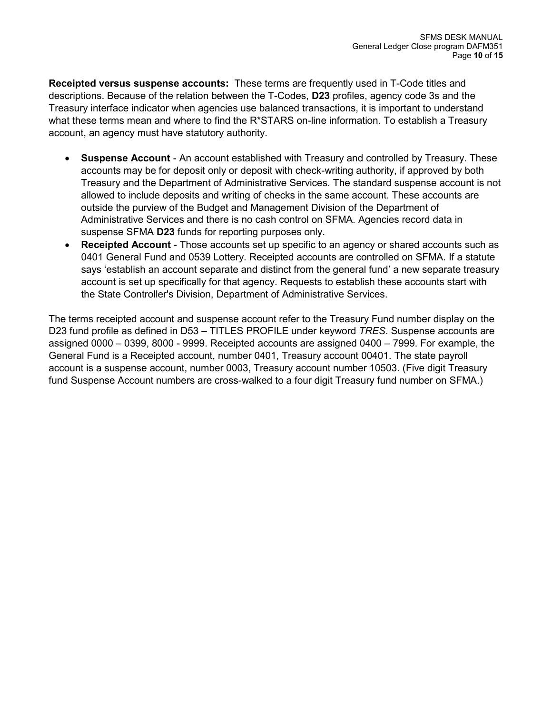**Receipted versus suspense accounts:** These terms are frequently used in T-Code titles and descriptions. Because of the relation between the T-Codes, **D23** profiles, agency code 3s and the Treasury interface indicator when agencies use balanced transactions, it is important to understand what these terms mean and where to find the R\*STARS on-line information. To establish a Treasury account, an agency must have statutory authority.

- **Suspense Account** An account established with Treasury and controlled by Treasury. These accounts may be for deposit only or deposit with check-writing authority, if approved by both Treasury and the Department of Administrative Services. The standard suspense account is not allowed to include deposits and writing of checks in the same account. These accounts are outside the purview of the Budget and Management Division of the Department of Administrative Services and there is no cash control on SFMA. Agencies record data in suspense SFMA **D23** funds for reporting purposes only.
- **Receipted Account** Those accounts set up specific to an agency or shared accounts such as 0401 General Fund and 0539 Lottery. Receipted accounts are controlled on SFMA. If a statute says 'establish an account separate and distinct from the general fund' a new separate treasury account is set up specifically for that agency. Requests to establish these accounts start with the State Controller's Division, Department of Administrative Services.

The terms receipted account and suspense account refer to the Treasury Fund number display on the D23 fund profile as defined in D53 – TITLES PROFILE under keyword *TRES*. Suspense accounts are assigned 0000 – 0399, 8000 - 9999. Receipted accounts are assigned 0400 – 7999. For example, the General Fund is a Receipted account, number 0401, Treasury account 00401. The state payroll account is a suspense account, number 0003, Treasury account number 10503. (Five digit Treasury fund Suspense Account numbers are cross-walked to a four digit Treasury fund number on SFMA.)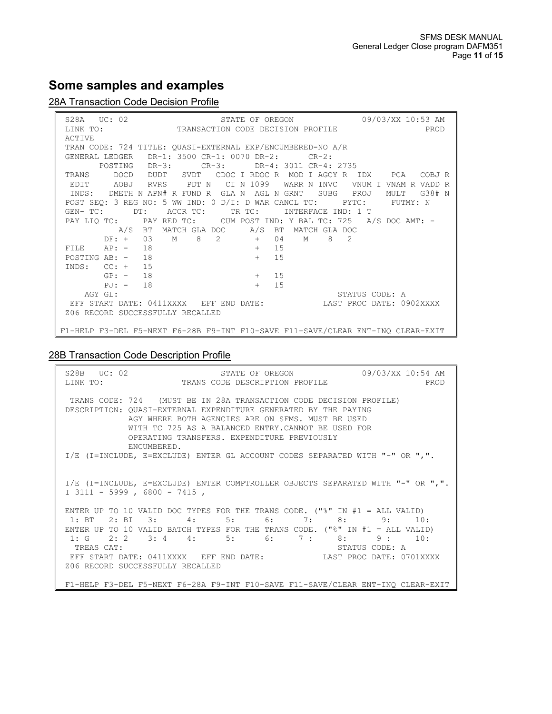# **Some samples and examples**

### 28A Transaction Code Decision Profile

| STATE OF OREGON 09/03/XX 10:53 AM<br>S28A UC: 02 STATE OF OREGON 09/03/XX 10:53 AM LINK TO: TRANSACTION CODE DECISION PROFILE |                |
|-------------------------------------------------------------------------------------------------------------------------------|----------------|
|                                                                                                                               |                |
| <b>ACTIVE</b>                                                                                                                 |                |
| TRAN CODE: 724 TITLE: OUASI-EXTERNAL EXP/ENCUMBERED-NO A/R                                                                    |                |
| GENERAL LEDGER DR-1: 3500 CR-1: 0070 DR-2: CR-2:                                                                              |                |
| POSTING DR-3: CR-3: DR-4: 3011 CR-4: 2735                                                                                     |                |
| TRANS DOCD DUDT SVDT CDOC I RDOC R MOD I AGCY R IDX PCA COBJ R                                                                |                |
| EDIT AOBJ RVRS PDT N CI N 1099 WARR N INVC VNUM I VNAM R VADD R                                                               |                |
| INDS: DMETH N APN# R FUND R GLA N AGL N GRNT SUBG PROJ MULT G38# N                                                            |                |
| POST SEO: 3 REG NO: 5 WW IND: 0 D/I: D WAR CANCL TC: PYTC: FUTMY: N                                                           |                |
| GEN- TC: DT: ACCR TC: TR TC: INTERFACE IND: 1 T                                                                               |                |
| PAY LIO TC: PAY RED TC: CUM POST IND: Y BAL TC: 725 A/S DOC AMT: -                                                            |                |
| A/S BT MATCH GLA DOC A/S BT MATCH GLA DOC                                                                                     |                |
| DF: + 03 M 8 2 + 04 M 8 2                                                                                                     |                |
| FILE $AP: -18$<br>$+$ 15                                                                                                      |                |
| $+$ 15<br>POSTING AB: - 18                                                                                                    |                |
| $INDS: CC: + 15$                                                                                                              |                |
| $+$ 15<br>$GP: -18$                                                                                                           |                |
| $PJ: -18$<br>$+$ 15                                                                                                           |                |
| AGY GL:                                                                                                                       | STATUS CODE: A |
| EFF START DATE: 0411XXXX EFF END DATE: LAST PROC DATE: 0902XXXX                                                               |                |
| Z06 RECORD SUCCESSFULLY RECALLED                                                                                              |                |
|                                                                                                                               |                |
| F1-HELP F3-DEL F5-NEXT F6-28B F9-INT F10-SAVE F11-SAVE/CLEAR ENT-INO CLEAR-EXIT                                               |                |

#### 28B Transaction Code Description Profile

|                                                                                                                                                                                                                                                                                                                | S28B UC: 02 STATE OF OREGON 09/03/XX 10:54 AM LINK TO: TRANS CODE DESCRIPTION PROFILE |  |                                                                                 |
|----------------------------------------------------------------------------------------------------------------------------------------------------------------------------------------------------------------------------------------------------------------------------------------------------------------|---------------------------------------------------------------------------------------|--|---------------------------------------------------------------------------------|
|                                                                                                                                                                                                                                                                                                                |                                                                                       |  |                                                                                 |
| TRANS CODE: 724 (MUST BE IN 28A TRANSACTION CODE DECISION PROFILE)<br>DESCRIPTION: OUASI-EXTERNAL EXPENDITURE GENERATED BY THE PAYING<br>AGY WHERE BOTH AGENCIES ARE ON SFMS. MUST BE USED<br>WITH TC 725 AS A BALANCED ENTRY.CANNOT BE USED FOR<br>OPERATING TRANSFERS. EXPENDITURE PREVIOUSLY<br>ENCUMBERED. |                                                                                       |  |                                                                                 |
|                                                                                                                                                                                                                                                                                                                | I/E (I=INCLUDE, E=EXCLUDE) ENTER GL ACCOUNT CODES SEPARATED WITH "-" OR ",".          |  |                                                                                 |
| I/E (I=INCLUDE, E=EXCLUDE) ENTER COMPTROLLER OBJECTS SEPARATED WITH "-" OR ",".<br>$I$ 3111 - 5999 , 6800 - 7415 ,                                                                                                                                                                                             |                                                                                       |  |                                                                                 |
|                                                                                                                                                                                                                                                                                                                | ENTER UP TO 10 VALID DOC TYPES FOR THE TRANS CODE. ("%" IN #1 = ALL VALID)            |  |                                                                                 |
|                                                                                                                                                                                                                                                                                                                | 1: BT 2: BI 3: 4: 5: 6: 7: 8: 9: 10:                                                  |  |                                                                                 |
|                                                                                                                                                                                                                                                                                                                | ENTER UP TO 10 VALID BATCH TYPES FOR THE TRANS CODE. ("%" IN #1 = ALL VALID)          |  |                                                                                 |
|                                                                                                                                                                                                                                                                                                                | 1: G $2: 2$ $3: 4$ $4: 5: 6: 7: 8: 9: 10:$                                            |  |                                                                                 |
| TREAS CAT:                                                                                                                                                                                                                                                                                                     |                                                                                       |  | STATUS CODE: A                                                                  |
|                                                                                                                                                                                                                                                                                                                | EFF START DATE: 0411XXXX EFF END DATE: LAST PROC DATE: 0701XXXX                       |  |                                                                                 |
| Z06 RECORD SUCCESSFULLY RECALLED                                                                                                                                                                                                                                                                               |                                                                                       |  |                                                                                 |
|                                                                                                                                                                                                                                                                                                                |                                                                                       |  | F1-HELP F3-DEL F5-NEXT F6-28A F9-INT F10-SAVE F11-SAVE/CLEAR ENT-INO CLEAR-EXIT |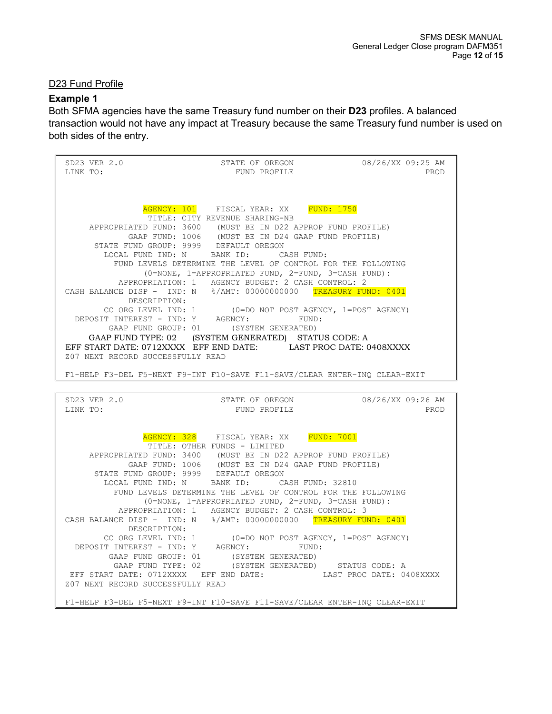#### D23 Fund Profile

#### **Example 1**

Both SFMA agencies have the same Treasury fund number on their **D23** profiles. A balanced transaction would not have any impact at Treasury because the same Treasury fund number is used on both sides of the entry.

SD23 VER 2.0 STATE OF OREGON 08/26/XX 09:25 AM LINK TO: LINK TO: THE PRODUCT STATE PRODUCT FUND PROFILE THE PRODUCT PRODUCT PRODUCT STATE PRODUCT PRODUCT PRODUCT PROD AGENCY: 101 FISCAL YEAR: XX FUND: 1750 TITLE: CITY REVENUE SHARING-NB APPROPRIATED FUND: 3600 (MUST BE IN D22 APPROP FUND PROFILE) GAAP FUND: 1006 (MUST BE IN D24 GAAP FUND PROFILE) STATE FUND GROUP: 9999 DEFAULT OREGON LOCAL FUND IND: N BANK ID: CASH FUND: FUND LEVELS DETERMINE THE LEVEL OF CONTROL FOR THE FOLLOWING (0=NONE, 1=APPROPRIATED FUND, 2=FUND, 3=CASH FUND): APPROPRIATION: 1 AGENCY BUDGET: 2 CASH CONTROL: 2 CASH BALANCE DISP - IND: N %/AMT: 00000000000 TREASURY FUND: 0401 DESCRIPTION:<br>CC ORG LEVEL IND: 1 CC ORG LEVEL IND: 1 (0=DO NOT POST AGENCY, 1=POST AGENCY)<br>DEPOSIT INTEREST - IND: Y AGENCY: FUND: DEPOSIT INTEREST - IND: Y AGENCY: FUND: GAAP FUND GROUP: 01 (SYSTEM GENERATED) GAAP FUND TYPE: 02 (SYSTEM GENERATED) STATUS CODE: A EFF START DATE: 0712XXXX EFF END DATE: LAST PROC DATE: 0408XXXX Z07 NEXT RECORD SUCCESSFULLY READ F1-HELP F3-DEL F5-NEXT F9-INT F10-SAVE F11-SAVE/CLEAR ENTER-INQ CLEAR-EXIT SD23 VER 2.0 STATE OF OREGON 08/26/XX 09:26 AM <br>LINK TO: STATE OF OREGON DINK TO: PROD FUND PROFILE AGENCY: 328 FISCAL YEAR: XX FUND: 7001 TITLE: OTHER FUNDS - LIMITED APPROPRIATED FUND: 3400 (MUST BE IN D22 APPROP FUND PROFILE) GAAP FUND: 1006 (MUST BE IN D24 GAAP FUND PROFILE) STATE FUND GROUP: 9999 DEFAULT OREGON<br>LOCAL FUND IND: N BANK ID: CASH FUND: 32810 LOCAL FUND IND: N BANK ID: FUND LEVELS DETERMINE THE LEVEL OF CONTROL FOR THE FOLLOWING (0=NONE, 1=APPROPRIATED FUND, 2=FUND, 3=CASH FUND): APPROPRIATION: 1 AGENCY BUDGET: 2 CASH CONTROL: 3 CASH BALANCE DISP - IND: N %/AMT: 00000000000 TREASURY FUND: 0401 DESCRIPTION:<br>CC ORG LEVEL IND: 1 (0=DO NOT POST AGENCY, 1=POST AGENCY)<br>AGENCY: FUND: DEPOSIT INTEREST - IND: Y AGENCY: GAAP FUND GROUP: 01 (SYSTEM GENERATED) GAAP FUND TYPE: 02 (SYSTEM GENERATED) STATUS CODE: A EFF START DATE: 0712XXXX EFF END DATE: LAST PROC DATE: 0408XXXX Z07 NEXT RECORD SUCCESSFULLY READ F1-HELP F3-DEL F5-NEXT F9-INT F10-SAVE F11-SAVE/CLEAR ENTER-INQ CLEAR-EXIT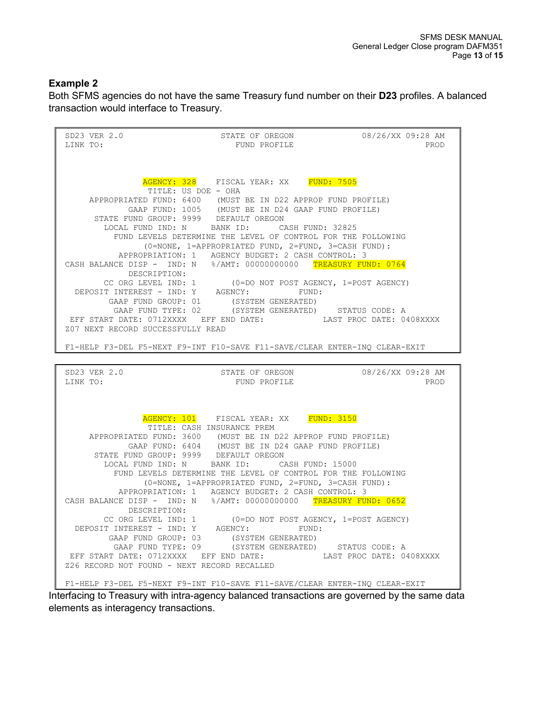### **Example 2**

Both SFMS agencies do not have the same Treasury fund number on their **D23** profiles. A balanced transaction would interface to Treasury.

SD23 VER 2.0 STATE OF OREGON 08/26/XX 09:28 AM LINK TO: FUND PROFILE AGENCY: 328 FISCAL YEAR: XX FUND: 7505 TITLE: US DOE - OHA APPROPRIATED FUND: 6400 (MUST BE IN D22 APPROP FUND PROFILE) GAAP FUND: 1005 (MUST BE IN D24 GAAP FUND PROFILE) STATE FUND GROUP: 9999 DEFAULT OREGON LOCAL FUND IND: N BANK ID: CASH FUND: 32825 FUND LEVELS DETERMINE THE LEVEL OF CONTROL FOR THE FOLLOWING (0=NONE, 1=APPROPRIATED FUND, 2=FUND, 3=CASH FUND): APPROPRIATION: 1 AGENCY BUDGET: 2 CASH CONTROL: 3 CASH BALANCE DISP - IND: N %/AMT: 00000000000 TREASURY FUND: 0764 DESCRIPTION: CC ORG LEVEL IND: 1 (0=DO NOT POST AGENCY, 1=POST AGENCY) DEPOSIT INTEREST - IND: Y AGENCY: FUND: GAAP FUND GROUP: 01 (SYSTEM GENERATED) GAAP FUND TYPE: 02 (SYSTEM GENERATED) STATUS CODE: A EFF START DATE: 0712XXXX EFF END DATE: LAST PROC DATE: 0408XXXX Z07 NEXT RECORD SUCCESSFULLY READ F1-HELP F3-DEL F5-NEXT F9-INT F10-SAVE F11-SAVE/CLEAR ENTER-INQ CLEAR-EXIT SD23 VER 2.0 STATE OF OREGON 08/26/XX 09:28 AM <br>LINK TO: STATE OF OREGON DINK TO: PROD FUND PROFILE AGENCY: 101 FISCAL YEAR: XX FUND: 3150 TITLE: CASH INSURANCE PREM APPROPRIATED FUND: 3600 (MUST BE IN D22 APPROP FUND PROFILE) GAAP FUND: 6404 (MUST BE IN D24 GAAP FUND PROFILE) STATE FUND GROUP: 9999 DEFAULT OREGON LOCAL FUND IND: N BANK ID: CASH FUND: 15000 FUND LEVELS DETERMINE THE LEVEL OF CONTROL FOR THE FOLLOWING (0=NONE, 1=APPROPRIATED FUND, 2=FUND, 3=CASH FUND): APPROPRIATION: 1 AGENCY BUDGET: 2 CASH CONTROL: 3 CASH BALANCE DISP - IND: N %/AMT: 00000000000 TREASURY FUND: 0652 DESCRIPTION: CC ORG LEVEL IND: 1 (0=DO NOT POST AGENCY, 1=POST AGENCY) DEPOSIT INTEREST - IND: Y AGENCY: FUND: GAAP FUND GROUP: 03 (SYSTEM GENERATED) GAAP FUND TYPE: 09 (SYSTEM GENERATED) STATUS CODE: A EFF START DATE: 0712XXXX EFF END DATE: LAST PROC DATE: 0408XXXX Z26 RECORD NOT FOUND - NEXT RECORD RECALLED F1-HELP F3-DEL F5-NEXT F9-INT F10-SAVE F11-SAVE/CLEAR ENTER-INQ CLEAR-EXIT Interfacing to Treasury with intra-agency balanced transactions are governed by the same data

elements as interagency transactions.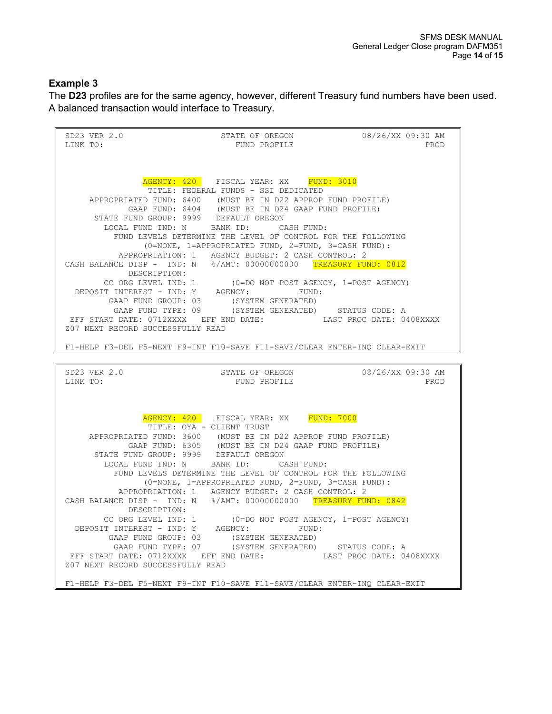#### **Example 3**

The **D23** profiles are for the same agency, however, different Treasury fund numbers have been used. A balanced transaction would interface to Treasury.

SD23 VER 2.0 STATE OF OREGON 08/26/XX 09:30 AM LINK TO: FUND PROFILE AGENCY: 420 FISCAL YEAR: XX FUND: 3010 TITLE: FEDERAL FUNDS - SSI DEDICATED APPROPRIATED FUND: 6400 (MUST BE IN D22 APPROP FUND PROFILE)<br>GAAP FUND: 6404 (MUST BE IN D24 GAAP FUND PROFILE) GAAP FUND: 6404 (MUST BE IN D24 GAAP FUND PROFILE) STATE FUND GROUP: 9999 DEFAULT OREGON LOCAL FUND IND: N BANK ID: CASH FUND: FUND LEVELS DETERMINE THE LEVEL OF CONTROL FOR THE FOLLOWING (0=NONE, 1=APPROPRIATED FUND, 2=FUND, 3=CASH FUND): APPROPRIATION: 1 AGENCY BUDGET: 2 CASH CONTROL: 2 CASH BALANCE DISP - IND: N %/AMT: 00000000000 TREASURY FUND: 0812<br>DESCRIPTION: DESCRIPTION: CC ORG LEVEL IND: 1 (0=DO NOT POST AGENCY, 1=POST AGENCY) DEPOSIT INTEREST - IND: Y AGENCY: FUND: GAAP FUND GROUP: 03 (SYSTEM GENERATED) GAAP FUND TYPE: 09 (SYSTEM GENERATED) STATUS CODE: A EFF START DATE: 0712XXXX EFF END DATE: LAST PROC DATE: 0408XXXX Z07 NEXT RECORD SUCCESSFULLY READ F1-HELP F3-DEL F5-NEXT F9-INT F10-SAVE F11-SAVE/CLEAR ENTER-INQ CLEAR-EXIT SD23 VER 2.0 STATE OF OREGON 08/26/XX 09:30 AM LINK TO: FUND PROFILE AGENCY: 420 FISCAL YEAR: XX FUND: 7000 TITLE: OYA - CLIENT TRUST APPROPRIATED FUND: 3600 (MUST BE IN D22 APPROP FUND PROFILE) GAAP FUND: 6305 (MUST BE IN D24 GAAP FUND PROFILE) STATE FUND GROUP: 9999 DEFAULT OREGON<br>LOCAL FUND IND: N BANK ID: CASH FUND: LOCAL FUND IND: N BANK ID: FUND LEVELS DETERMINE THE LEVEL OF CONTROL FOR THE FOLLOWING (0=NONE, 1=APPROPRIATED FUND, 2=FUND, 3=CASH FUND): APPROPRIATION: 1 AGENCY BUDGET: 2 CASH CONTROL: 2 CASH BALANCE DISP - IND: N %/AMT: 00000000000 TREASURY FUND: 0842<br>DESCRIPTION: DESCRIPTION: CC ORG LEVEL IND: 1 (0=DO NOT POST AGENCY, 1=POST AGENCY) DEPOSIT INTEREST - IND: Y AGENCY: FUND: GAAP FUND GROUP: 03 (SYSTEM GENERATED) GAAP FUND TYPE: 07 (SYSTEM GENERATED) STATUS CODE: A EFF START DATE: 0712XXXX EFF END DATE: LAST PROC DATE: 0408XXXX Z07 NEXT RECORD SUCCESSFULLY READ F1-HELP F3-DEL F5-NEXT F9-INT F10-SAVE F11-SAVE/CLEAR ENTER-INQ CLEAR-EXIT